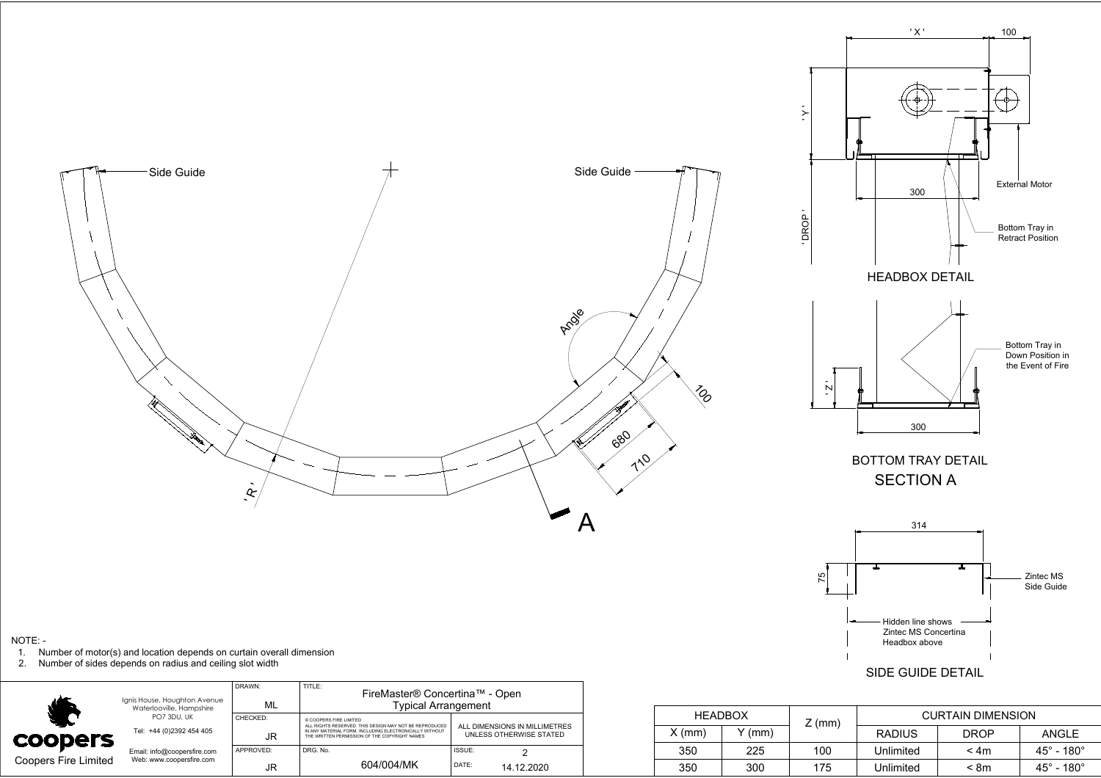

| $NOTE: -$                   | Number of motor(s) and location depends on curtain overall dimension<br>2. Number of sides depends on radius and ceiling slot width |                |                                                                                                                                                                  |        |                         |                                                                                                   |     |       | ╺                        | - Hidden line shows<br>Zintec MS Concertina<br>Headbox above<br>SIDE GUIDE DETAIL |      |                           |
|-----------------------------|-------------------------------------------------------------------------------------------------------------------------------------|----------------|------------------------------------------------------------------------------------------------------------------------------------------------------------------|--------|-------------------------|---------------------------------------------------------------------------------------------------|-----|-------|--------------------------|-----------------------------------------------------------------------------------|------|---------------------------|
|                             | Ignis House, Houghton Avenue                                                                                                        | DRAWN:         | TITLE:<br>FireMaster® Concertina™ - Open                                                                                                                         |        |                         |                                                                                                   |     |       |                          |                                                                                   |      |                           |
|                             | Waterlooville, Hampshire<br>PO7 3DU, UK                                                                                             | ML<br>CHECKED: | Typical Arrangement<br>@ COOPERS FIRE LIMITED                                                                                                                    |        |                         | <b>HEADBOX</b>                                                                                    |     |       | <b>CURTAIN DIMENSION</b> |                                                                                   |      |                           |
| <b>COODETS</b>              | Tel: +44 (0)2392 454 405                                                                                                            | JR.            | ALL RIGHTS RESERVED. THIS DESIGN MAY NOT BE REPRODUCED<br>N ANY MATERIAL FORM, INCLUDING ELECTRONICALLY WITHOUT<br>THE WRITTEN PERMISSION OF THE COPYRIGHT NAMES |        | UNLESS OTHERWISE STATED | $Z$ (mm)<br>ALL DIMENSIONS IN MILLIMETRES<br>$Y$ (mm)<br>$X$ (mm)<br><b>DROP</b><br><b>RADIUS</b> |     | ANGLE |                          |                                                                                   |      |                           |
|                             | Email: info@coopersfire.com<br>Web: www.coopersfire.com                                                                             | APPROVED:      | DRG. No.                                                                                                                                                         | ISSUE: |                         |                                                                                                   | 350 | 225   | 100                      | Unlimited                                                                         | < 4m | $45^\circ$ - $180^\circ$  |
| <b>Coopers Fire Limited</b> |                                                                                                                                     | <b>JR</b>      | 604/004/MK                                                                                                                                                       | DATE:  | 14.12.2020              |                                                                                                   | 350 | 300   | 175                      | Unlimited                                                                         | < 8m | $45^\circ$ - 180 $^\circ$ |

## $\begin{array}{|c|c|c|}\n\hline\n\text{A} & \text{I} & \text{I} & \text{I} \\
\hline\n\text{C} & \text{I} & \text{I} & \text{I} & \text{I} \\
\hline\n\end{array}$ Zintec MS<br>Side Guide Hidden line shows Zintec MS Concertina

|        | <b>HEADBOX</b> | $Z$ (mm) | <b>CURTAIN DIMENSION</b> |             |                               |  |  |
|--------|----------------|----------|--------------------------|-------------|-------------------------------|--|--|
| X (mm) | Y (mm)         |          | <b>RADIUS</b>            | <b>DROP</b> | ANGLE                         |  |  |
| 350    | 225            | 100      | Unlimited                | < 4m        | $45^\circ$ - 180 $^\circ$     |  |  |
| 350    | 300            | 175      | Unlimited                | < 8m        | $45^{\circ}$ - 180 $^{\circ}$ |  |  |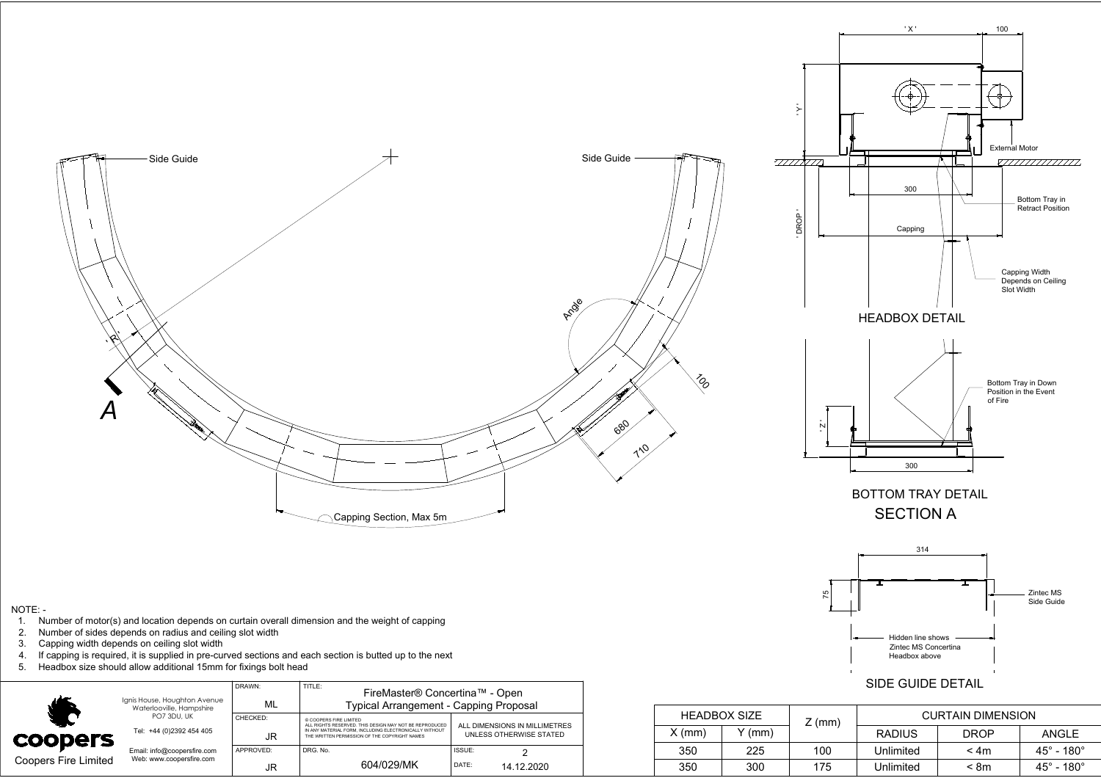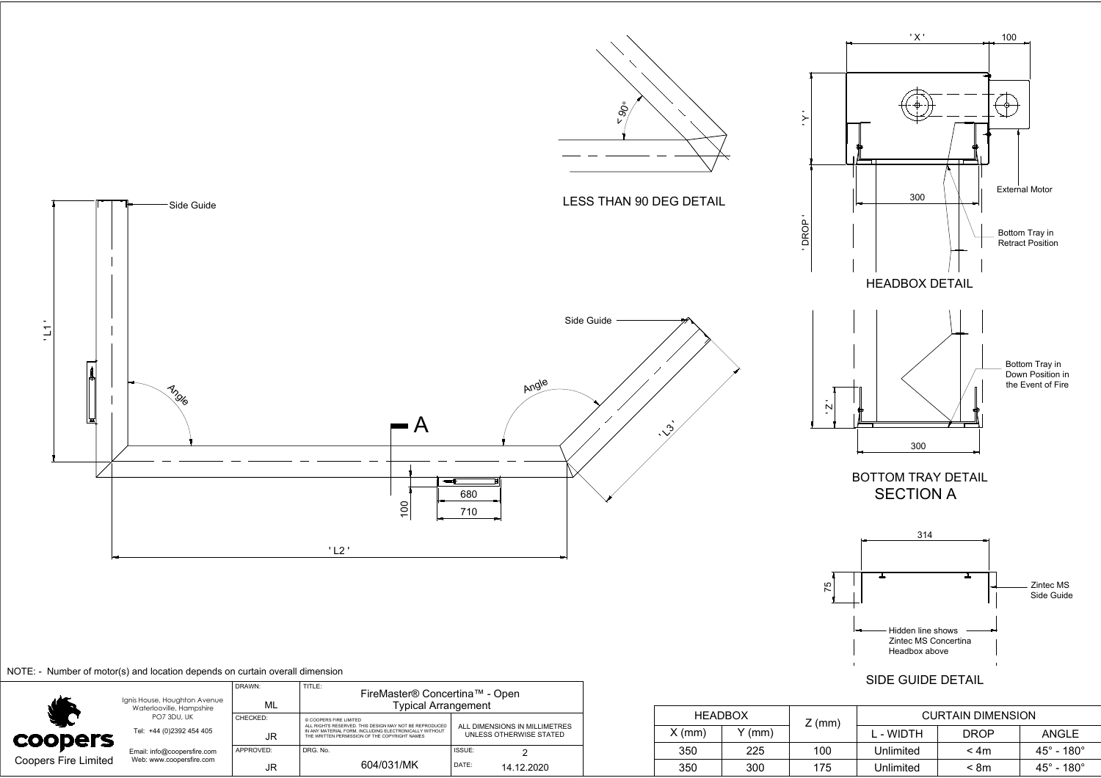

## NOTE: - Number of motor(s) and location depends on curtain overall dimension

|                             | Ignis House, Houghton Avenue<br>Waterlooville, Hampshire | DRAWN:<br>ML   | TITLE:<br>FireMaster® Concertina™ - Open<br><b>Typical Arrangement</b>                                                                                                                      |                                                          |  |  |  |
|-----------------------------|----------------------------------------------------------|----------------|---------------------------------------------------------------------------------------------------------------------------------------------------------------------------------------------|----------------------------------------------------------|--|--|--|
|                             |                                                          |                |                                                                                                                                                                                             |                                                          |  |  |  |
| <b>coopers</b>              | PO7 3DU, UK<br>Tel: +44 (0)2392 454 405                  | CHECKED:<br>JR | © COOPERS FIRE LIMITED<br>ALL RIGHTS RESERVED. THIS DESIGN MAY NOT BE REPRODUCED<br>IN ANY MATERIAL FORM. INCLUDING ELECTRONICALLY WITHOUT<br>THE WRITTEN PERMISSION OF THE COPYRIGHT NAMES | ALL DIMENSIONS IN MILLIMETRES<br>UNLESS OTHERWISE STATED |  |  |  |
|                             | Email: info@coopersfire.com                              | APPROVED:      | DRG. No.                                                                                                                                                                                    | ISSUE:                                                   |  |  |  |
| <b>Coopers Fire Limited</b> | Web: www.coopersfire.com                                 | JR             | 604/031/MK                                                                                                                                                                                  | DATE:<br>14.12.2020                                      |  |  |  |